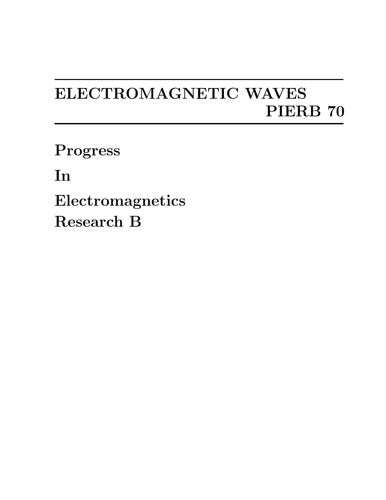## ELECTROMAGNETIC WAVES PIERB 70

Progress

In

Electromagnetics Research B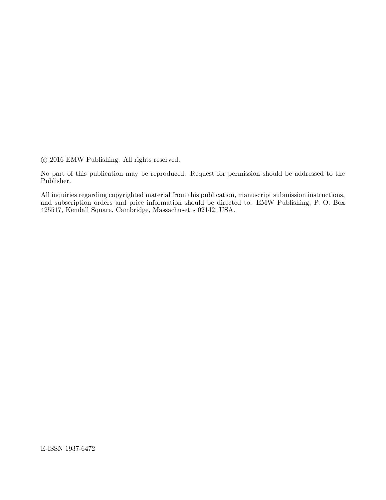$\odot$  2016 EMW Publishing. All rights reserved.

No part of this publication may be reproduced. Request for permission should be addressed to the Publisher.

All inquiries regarding copyrighted material from this publication, manuscript submission instructions, and subscription orders and price information should be directed to: EMW Publishing, P. O. Box 425517, Kendall Square, Cambridge, Massachusetts 02142, USA.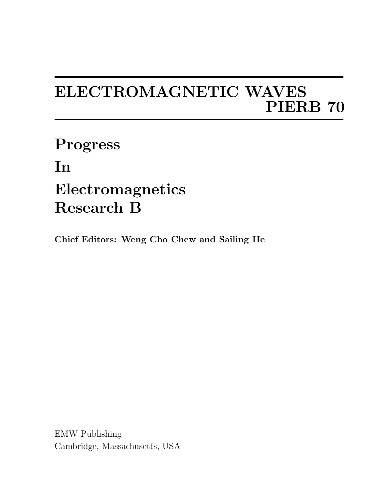## ELECTROMAGNETIC WAVES PIERB 70

Progress In Electromagnetics Research B

Chief Editors: Weng Cho Chew and Sailing He

EMW Publishing Cambridge, Massachusetts, USA